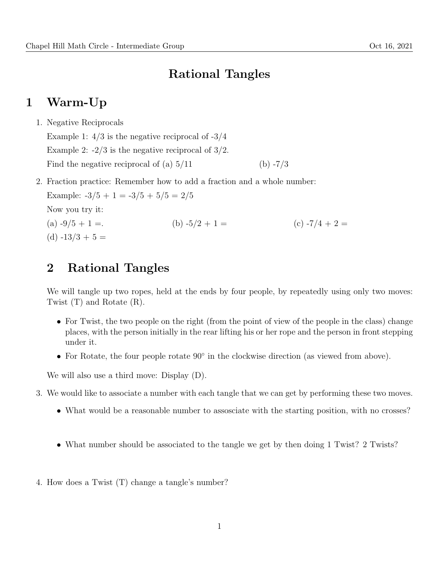### Rational Tangles

#### 1 Warm-Up

1. Negative Reciprocals

Example 1:  $4/3$  is the negative reciprocal of  $-3/4$ Example 2:  $-2/3$  is the negative reciprocal of  $3/2$ . Find the negative reciprocal of (a)  $5/11$  (b)  $-7/3$ 

2. Fraction practice: Remember how to add a fraction and a whole number:

```
Example: -3/5 + 1 = -3/5 + 5/5 = 2/5Now you try it:
(a) -9/5 + 1 =. (b) -5/2 + 1 = (c) -7/4 + 2 =(d) -13/3 + 5 =
```
#### 2 Rational Tangles

We will tangle up two ropes, held at the ends by four people, by repeatedly using only two moves: Twist (T) and Rotate (R).

- For Twist, the two people on the right (from the point of view of the people in the class) change places, with the person initially in the rear lifting his or her rope and the person in front stepping under it.
- For Rotate, the four people rotate 90◦ in the clockwise direction (as viewed from above).

We will also use a third move: Display (D).

- 3. We would like to associate a number with each tangle that we can get by performing these two moves.
	- What would be a reasonable number to assosciate with the starting position, with no crosses?
	- What number should be associated to the tangle we get by then doing 1 Twist? 2 Twists?
- 4. How does a Twist (T) change a tangle's number?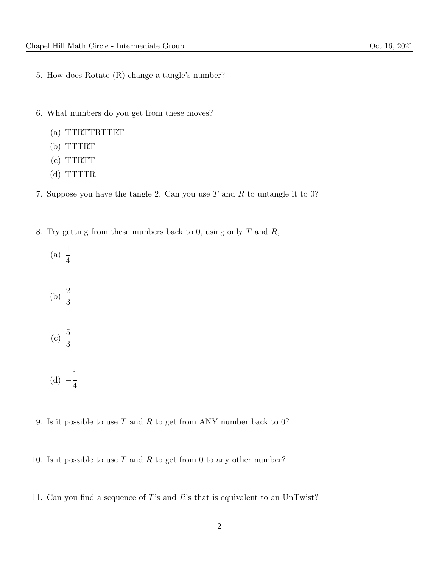- 5. How does Rotate (R) change a tangle's number?
- 6. What numbers do you get from these moves?
	- (a) TTRTTRTTRT
	- (b) TTTRT
	- (c) TTRTT
	- (d) TTTTR
- 7. Suppose you have the tangle 2. Can you use  $T$  and  $R$  to untangle it to 0?
- 8. Try getting from these numbers back to 0, using only  $T$  and  $R$ ,
	- (a)  $\frac{1}{4}$ 4
	- (b)  $\frac{2}{5}$ 3
	- (c)  $\frac{5}{8}$ 3
	- (d)  $-\frac{1}{4}$ 4
- 9. Is it possible to use  $T$  and  $R$  to get from ANY number back to 0?
- 10. Is it possible to use  $T$  and  $R$  to get from 0 to any other number?
- 11. Can you find a sequence of T's and R's that is equivalent to an UnTwist?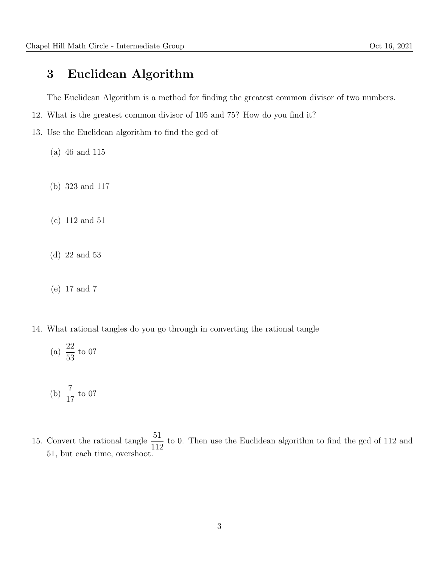## 3 Euclidean Algorithm

The Euclidean Algorithm is a method for finding the greatest common divisor of two numbers.

- 12. What is the greatest common divisor of 105 and 75? How do you find it?
- 13. Use the Euclidean algorithm to find the gcd of
	- (a) 46 and 115
	- (b) 323 and 117
	- (c) 112 and 51
	- (d) 22 and 53
	- (e) 17 and 7
- 14. What rational tangles do you go through in converting the rational tangle
	- (a)  $\frac{22}{5}$ 53 to 0?

(b) 
$$
\frac{7}{17}
$$
 to 0?

15. Convert the rational tangle  $\frac{51}{116}$ 112 to 0. Then use the Euclidean algorithm to find the gcd of 112 and 51, but each time, overshoot.